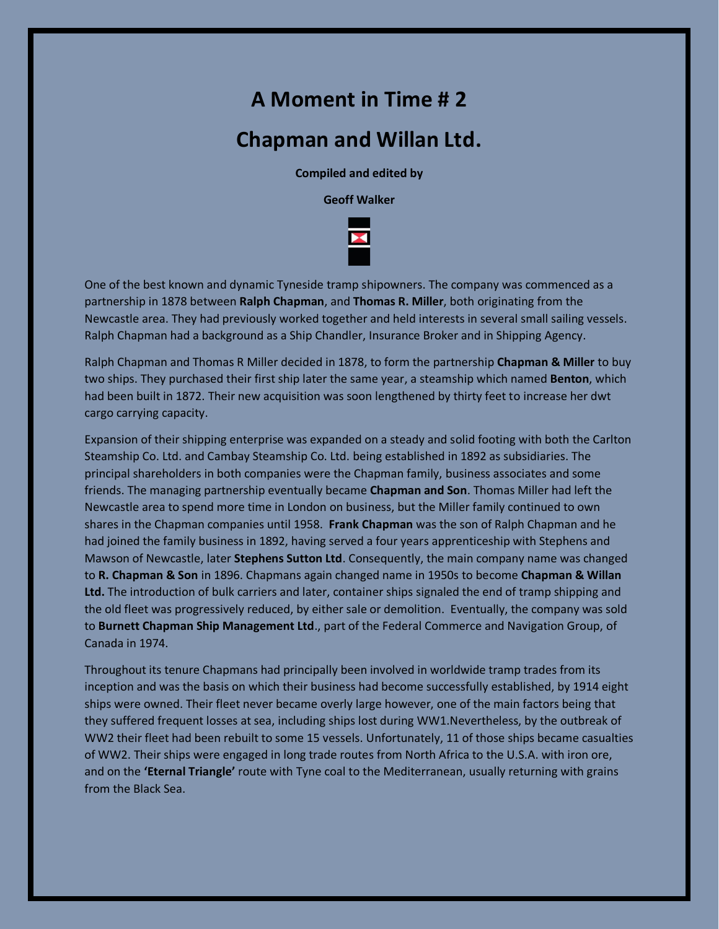## **A Moment in Time # 2**

## **Chapman and Willan Ltd.**

**Compiled and edited by**

**Geoff Walker**



One of the best known and dynamic Tyneside tramp shipowners. The company was commenced as a partnership in 1878 between **Ralph Chapman**, and **Thomas R. Miller**, both originating from the Newcastle area. They had previously worked together and held interests in several small sailing vessels. Ralph Chapman had a background as a Ship Chandler, Insurance Broker and in Shipping Agency.

Ralph Chapman and Thomas R Miller decided in 1878, to form the partnership **Chapman & Miller** to buy two ships. They purchased their first ship later the same year, a steamship which named **Benton**, which had been built in 1872. Their new acquisition was soon lengthened by thirty feet to increase her dwt cargo carrying capacity.

Expansion of their shipping enterprise was expanded on a steady and solid footing with both the Carlton Steamship Co. Ltd. and Cambay Steamship Co. Ltd. being established in 1892 as subsidiaries. The principal shareholders in both companies were the Chapman family, business associates and some friends. The managing partnership eventually became **Chapman and Son**. Thomas Miller had left the Newcastle area to spend more time in London on business, but the Miller family continued to own shares in the Chapman companies until 1958. **Frank Chapman** was the son of Ralph Chapman and he had joined the family business in 1892, having served a four years apprenticeship with Stephens and Mawson of Newcastle, later **Stephens Sutton Ltd**. Consequently, the main company name was changed to **R. Chapman & Son** in 1896. Chapmans again changed name in 1950s to become **Chapman & Willan Ltd.** The introduction of bulk carriers and later, container ships signaled the end of tramp shipping and the old fleet was progressively reduced, by either sale or demolition. Eventually, the company was sold to **Burnett Chapman Ship Management Ltd**., part of the Federal Commerce and Navigation Group, of Canada in 1974.

Throughout its tenure Chapmans had principally been involved in worldwide tramp trades from its inception and was the basis on which their business had become successfully established, by 1914 eight ships were owned. Their fleet never became overly large however, one of the main factors being that they suffered frequent losses at sea, including ships lost during WW1.Nevertheless, by the outbreak of WW2 their fleet had been rebuilt to some 15 vessels. Unfortunately, 11 of those ships became casualties of WW2. Their ships were engaged in long trade routes from North Africa to the U.S.A. with iron ore, and on the **'Eternal Triangle'** route with Tyne coal to the Mediterranean, usually returning with grains from the Black Sea.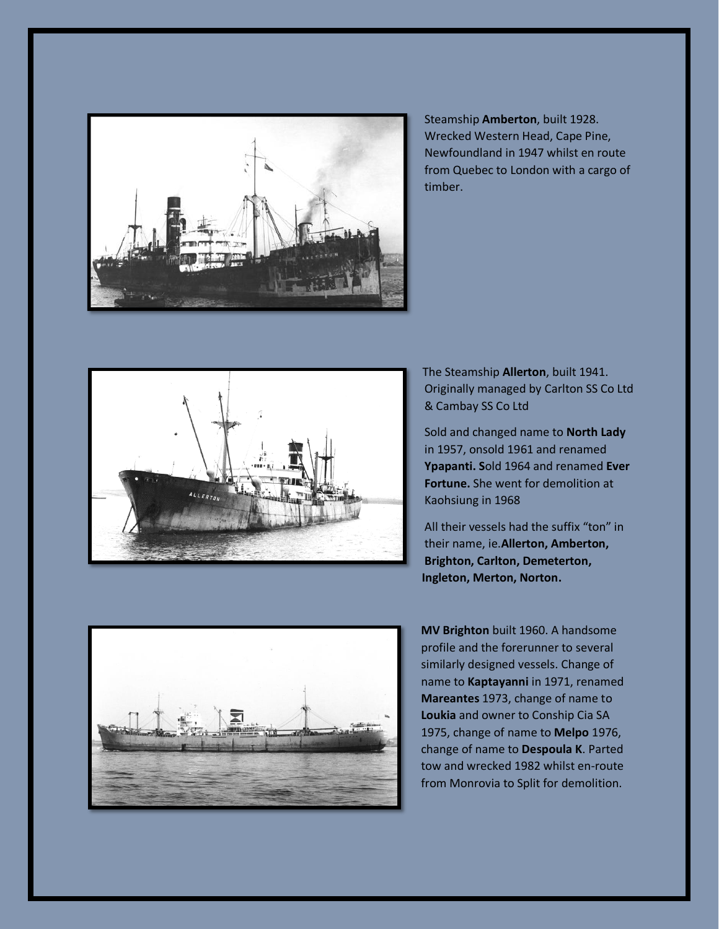

Steamship **Amberton**, built 1928. Wrecked Western Head, Cape Pine, Newfoundland in 1947 whilst en route from Quebec to London with a cargo of timber.



The Steamship **Allerton**, built 1941. Originally managed by Carlton SS Co Ltd & Cambay SS Co Ltd

Sold and changed name to **North Lady**  in 1957, onsold 1961 and renamed **Ypapanti. S**old 1964 and renamed **Ever Fortune.** She went for demolition at Kaohsiung in 1968

All their vessels had the suffix "ton" in their name, ie.**Allerton, Amberton, Brighton, Carlton, Demeterton, Ingleton, Merton, Norton.**



**MV Brighton** built 1960. A handsome profile and the forerunner to several similarly designed vessels. Change of name to **Kaptayanni** in 1971, renamed **Mareantes** 1973, change of name to **Loukia** and owner to Conship Cia SA 1975, change of name to **Melpo** 1976, change of name to **Despoula K**. Parted tow and wrecked 1982 whilst en-route from Monrovia to Split for demolition.